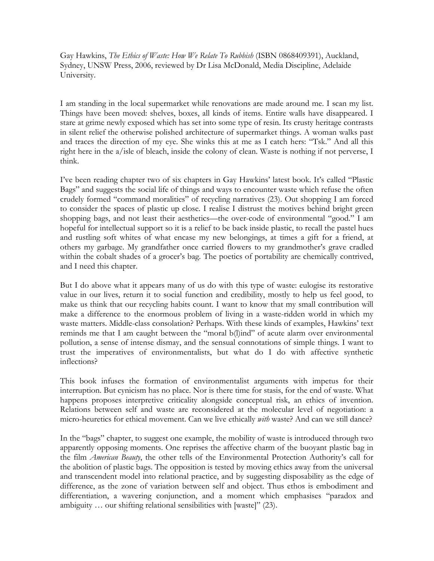Gay Hawkins, *The Ethics of Waste: How We Relate To Rubbish* (ISBN 0868409391), Auckland, Sydney, UNSW Press, 2006, reviewed by Dr Lisa McDonald, Media Discipline, Adelaide University.

I am standing in the local supermarket while renovations are made around me. I scan my list. Things have been moved: shelves, boxes, all kinds of items. Entire walls have disappeared. I stare at grime newly exposed which has set into some type of resin. Its crusty heritage contrasts in silent relief the otherwise polished architecture of supermarket things. A woman walks past and traces the direction of my eye. She winks this at me as I catch hers: "Tsk." And all this right here in the a/isle of bleach, inside the colony of clean. Waste is nothing if not perverse, I think.

I've been reading chapter two of six chapters in Gay Hawkins' latest book. It's called "Plastic Bags" and suggests the social life of things and ways to encounter waste which refuse the often crudely formed "command moralities" of recycling narratives (23). Out shopping I am forced to consider the spaces of plastic up close. I realise I distrust the motives behind bright green shopping bags, and not least their aesthetics—the over-code of environmental "good." I am hopeful for intellectual support so it is a relief to be back inside plastic, to recall the pastel hues and rustling soft whites of what encase my new belongings, at times a gift for a friend, at others my garbage. My grandfather once carried flowers to my grandmother's grave cradled within the cobalt shades of a grocer's bag. The poetics of portability are chemically contrived, and I need this chapter.

But I do above what it appears many of us do with this type of waste: eulogise its restorative value in our lives, return it to social function and credibility, mostly to help us feel good, to make us think that our recycling habits count. I want to know that my small contribution will make a difference to the enormous problem of living in a waste-ridden world in which my waste matters. Middle-class consolation? Perhaps. With these kinds of examples, Hawkins' text reminds me that I am caught between the "moral b(l)ind" of acute alarm over environmental pollution, a sense of intense dismay, and the sensual connotations of simple things. I want to trust the imperatives of environmentalists, but what do I do with affective synthetic inflections?

This book infuses the formation of environmentalist arguments with impetus for their interruption. But cynicism has no place. Nor is there time for stasis, for the end of waste. What happens proposes interpretive criticality alongside conceptual risk, an ethics of invention. Relations between self and waste are reconsidered at the molecular level of negotiation: a micro-heuretics for ethical movement. Can we live ethically *with* waste? And can we still dance?

In the "bags" chapter, to suggest one example, the mobility of waste is introduced through two apparently opposing moments. One reprises the affective charm of the buoyant plastic bag in the film *American Beauty*, the other tells of the Environmental Protection Authority's call for the abolition of plastic bags. The opposition is tested by moving ethics away from the universal and transcendent model into relational practice, and by suggesting disposability as the edge of difference, as the zone of variation between self and object. Thus ethos is embodiment and differentiation, a wavering conjunction, and a moment which emphasises "paradox and ambiguity … our shifting relational sensibilities with [waste]" (23).